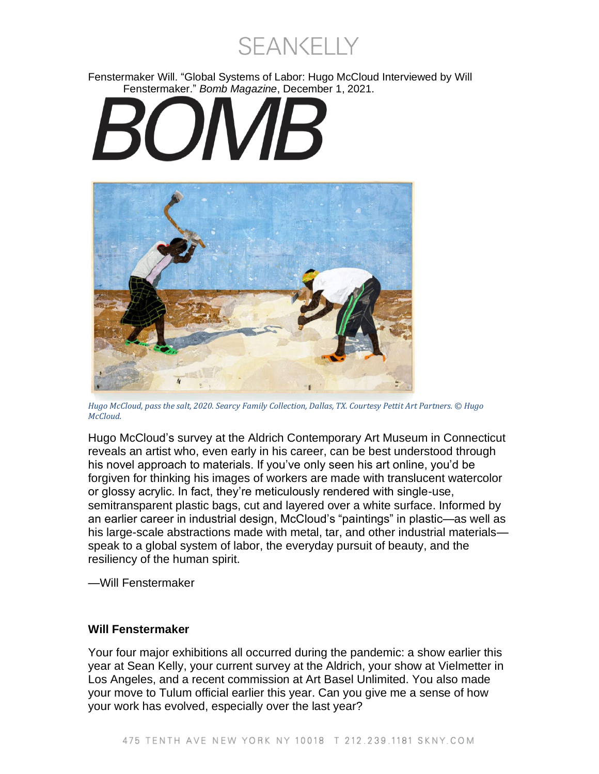**SEANKELLY** 

Fenstermaker Will. "Global Systems of Labor: Hugo McCloud Interviewed by Will Fenstermaker." *Bomb Magazine*, December 1, 2021.

# $\boldsymbol{M}$



*Hugo McCloud, pass the salt, 2020. Searcy Family Collection, Dallas, TX. Courtesy Pettit Art Partners. © Hugo McCloud.*

Hugo McCloud's survey at the Aldrich Contemporary Art Museum in Connecticut reveals an artist who, even early in his career, can be best understood through his novel approach to materials. If you've only seen his art online, you'd be forgiven for thinking his images of workers are made with translucent watercolor or glossy acrylic. In fact, they're meticulously rendered with single-use, semitransparent plastic bags, cut and layered over a white surface. Informed by an earlier career in industrial design, McCloud's "paintings" in plastic—as well as his large-scale abstractions made with metal, tar, and other industrial materials speak to a global system of labor, the everyday pursuit of beauty, and the resiliency of the human spirit.

—Will Fenstermaker

## **Will Fenstermaker**

Your four major exhibitions all occurred during the pandemic: a show earlier this year at Sean Kelly, your current survey at the Aldrich, your show at Vielmetter in Los Angeles, and a recent commission at Art Basel Unlimited. You also made your move to Tulum official earlier this year. Can you give me a sense of how your work has evolved, especially over the last year?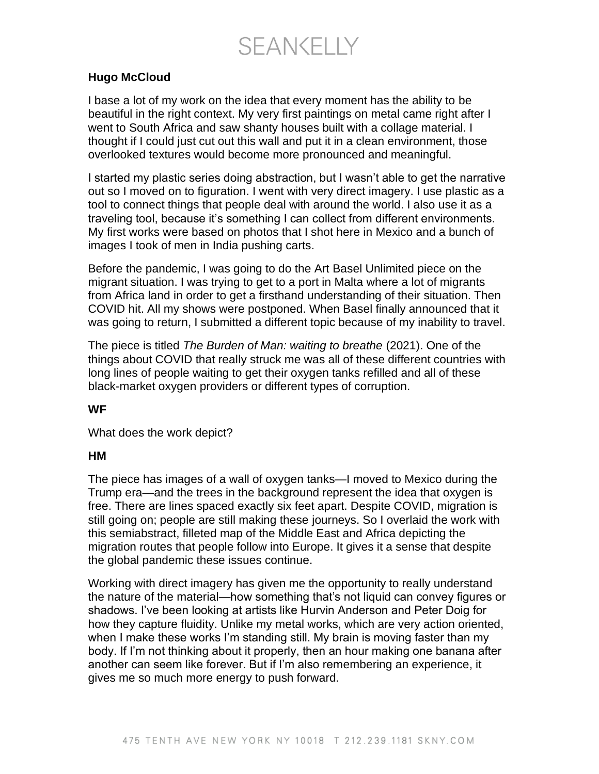**SEANKELLY** 

#### **Hugo McCloud**

I base a lot of my work on the idea that every moment has the ability to be beautiful in the right context. My very first paintings on metal came right after I went to South Africa and saw shanty houses built with a collage material. I thought if I could just cut out this wall and put it in a clean environment, those overlooked textures would become more pronounced and meaningful.

I started my plastic series doing abstraction, but I wasn't able to get the narrative out so I moved on to figuration. I went with very direct imagery. I use plastic as a tool to connect things that people deal with around the world. I also use it as a traveling tool, because it's something I can collect from different environments. My first works were based on photos that I shot here in Mexico and a bunch of images I took of men in India pushing carts.

Before the pandemic, I was going to do the Art Basel Unlimited piece on the migrant situation. I was trying to get to a port in Malta where a lot of migrants from Africa land in order to get a firsthand understanding of their situation. Then COVID hit. All my shows were postponed. When Basel finally announced that it was going to return, I submitted a different topic because of my inability to travel.

The piece is titled *The Burden of Man: waiting to breathe* (2021). One of the things about COVID that really struck me was all of these different countries with long lines of people waiting to get their oxygen tanks refilled and all of these black-market oxygen providers or different types of corruption.

#### **WF**

What does the work depict?

#### **HM**

The piece has images of a wall of oxygen tanks—I moved to Mexico during the Trump era—and the trees in the background represent the idea that oxygen is free. There are lines spaced exactly six feet apart. Despite COVID, migration is still going on; people are still making these journeys. So I overlaid the work with this semiabstract, filleted map of the Middle East and Africa depicting the migration routes that people follow into Europe. It gives it a sense that despite the global pandemic these issues continue.

Working with direct imagery has given me the opportunity to really understand the nature of the material—how something that's not liquid can convey figures or shadows. I've been looking at artists like Hurvin Anderson and Peter Doig for how they capture fluidity. Unlike my metal works, which are very action oriented, when I make these works I'm standing still. My brain is moving faster than my body. If I'm not thinking about it properly, then an hour making one banana after another can seem like forever. But if I'm also remembering an experience, it gives me so much more energy to push forward.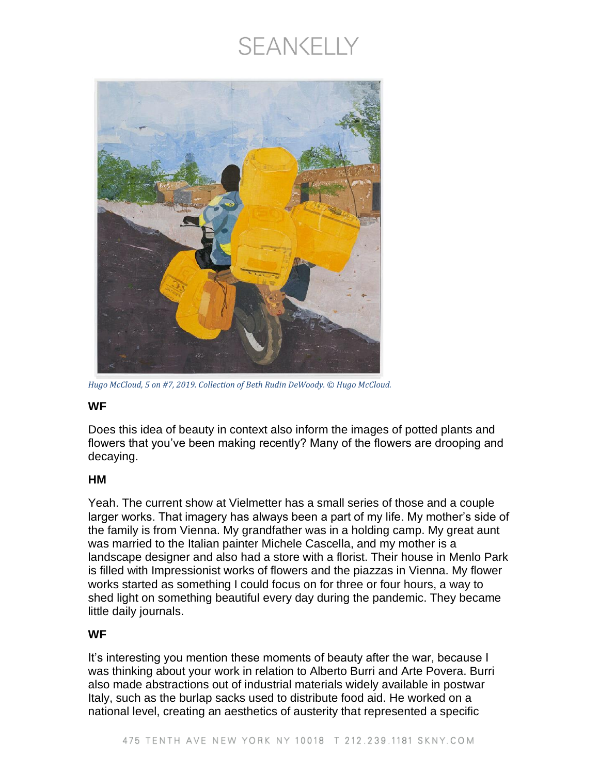# SEANKELLY



*Hugo McCloud, 5 on #7, 2019. Collection of Beth Rudin DeWoody. © Hugo McCloud.*

## **WF**

Does this idea of beauty in context also inform the images of potted plants and flowers that you've been making recently? Many of the flowers are drooping and decaying.

# **HM**

Yeah. The current show at Vielmetter has a small series of those and a couple larger works. That imagery has always been a part of my life. My mother's side of the family is from Vienna. My grandfather was in a holding camp. My great aunt was married to the Italian painter Michele Cascella, and my mother is a landscape designer and also had a store with a florist. Their house in Menlo Park is filled with Impressionist works of flowers and the piazzas in Vienna. My flower works started as something I could focus on for three or four hours, a way to shed light on something beautiful every day during the pandemic. They became little daily journals.

## **WF**

It's interesting you mention these moments of beauty after the war, because I was thinking about your work in relation to Alberto Burri and Arte Povera. Burri also made abstractions out of industrial materials widely available in postwar Italy, such as the burlap sacks used to distribute food aid. He worked on a national level, creating an aesthetics of austerity that represented a specific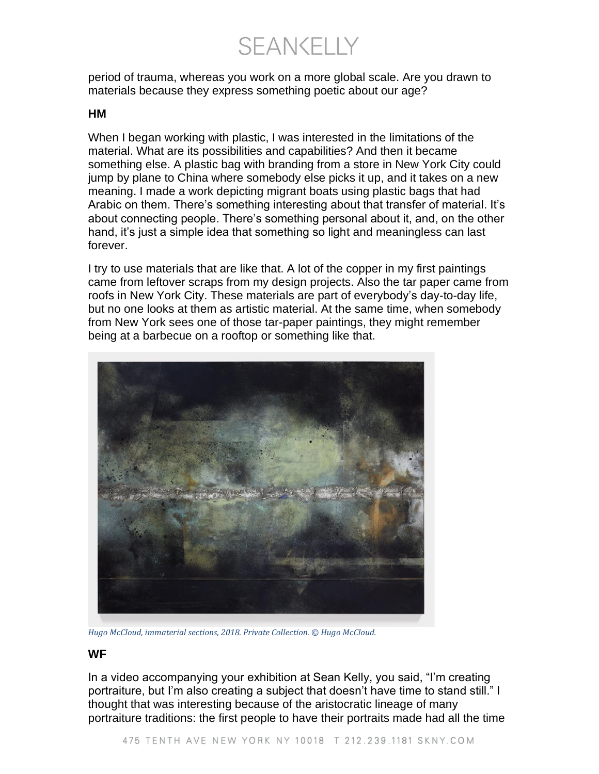SEANKELLY

period of trauma, whereas you work on a more global scale. Are you drawn to materials because they express something poetic about our age?

#### **HM**

When I began working with plastic, I was interested in the limitations of the material. What are its possibilities and capabilities? And then it became something else. A plastic bag with branding from a store in New York City could jump by plane to China where somebody else picks it up, and it takes on a new meaning. I made a work depicting migrant boats using plastic bags that had Arabic on them. There's something interesting about that transfer of material. It's about connecting people. There's something personal about it, and, on the other hand, it's just a simple idea that something so light and meaningless can last forever.

I try to use materials that are like that. A lot of the copper in my first paintings came from leftover scraps from my design projects. Also the tar paper came from roofs in New York City. These materials are part of everybody's day-to-day life, but no one looks at them as artistic material. At the same time, when somebody from New York sees one of those tar-paper paintings, they might remember being at a barbecue on a rooftop or something like that.



*Hugo McCloud, immaterial sections, 2018. Private Collection. © Hugo McCloud.*

#### **WF**

In a video accompanying your exhibition at Sean Kelly, you said, "I'm creating portraiture, but I'm also creating a subject that doesn't have time to stand still." I thought that was interesting because of the aristocratic lineage of many portraiture traditions: the first people to have their portraits made had all the time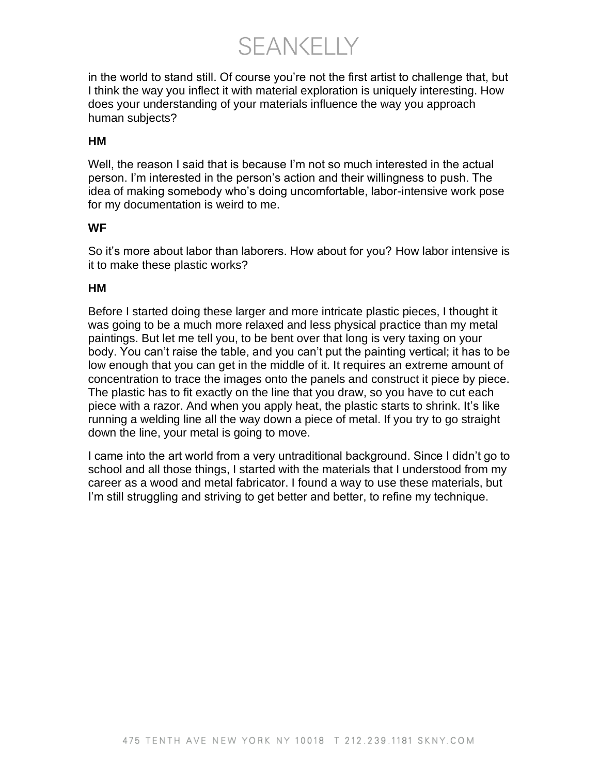**SEANKELLY** 

in the world to stand still. Of course you're not the first artist to challenge that, but I think the way you inflect it with material exploration is uniquely interesting. How does your understanding of your materials influence the way you approach human subjects?

#### **HM**

Well, the reason I said that is because I'm not so much interested in the actual person. I'm interested in the person's action and their willingness to push. The idea of making somebody who's doing uncomfortable, labor-intensive work pose for my documentation is weird to me.

#### **WF**

So it's more about labor than laborers. How about for you? How labor intensive is it to make these plastic works?

#### **HM**

Before I started doing these larger and more intricate plastic pieces, I thought it was going to be a much more relaxed and less physical practice than my metal paintings. But let me tell you, to be bent over that long is very taxing on your body. You can't raise the table, and you can't put the painting vertical; it has to be low enough that you can get in the middle of it. It requires an extreme amount of concentration to trace the images onto the panels and construct it piece by piece. The plastic has to fit exactly on the line that you draw, so you have to cut each piece with a razor. And when you apply heat, the plastic starts to shrink. It's like running a welding line all the way down a piece of metal. If you try to go straight down the line, your metal is going to move.

I came into the art world from a very untraditional background. Since I didn't go to school and all those things, I started with the materials that I understood from my career as a wood and metal fabricator. I found a way to use these materials, but I'm still struggling and striving to get better and better, to refine my technique.